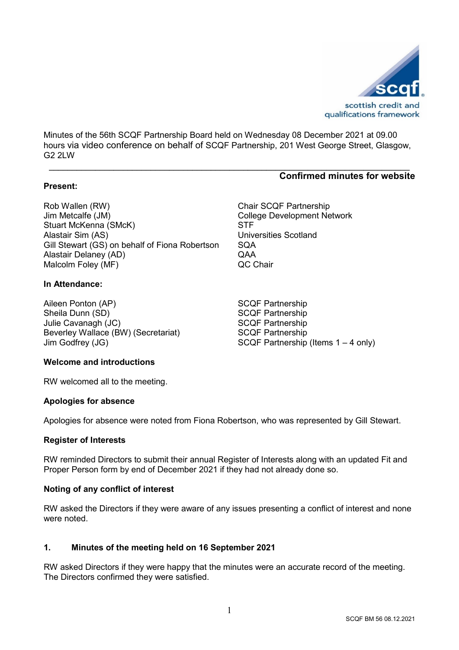

**Confirmed minutes for website**

Minutes of the 56th SCQF Partnership Board held on Wednesday 08 December 2021 at 09.00 hours via video conference on behalf of SCQF Partnership, 201 West George Street, Glasgow, G2 2LW

**\_\_\_\_\_\_\_\_\_\_\_\_\_\_\_\_\_\_\_\_\_\_\_\_\_\_\_\_\_\_\_\_\_\_\_\_\_\_\_\_\_\_\_\_\_\_\_\_\_\_\_\_\_\_\_\_\_\_\_\_\_\_\_\_\_\_\_\_\_\_\_\_\_\_\_\_\_\_**

#### **Present:**

Rob Wallen (RW) Chair SCQF Partnership<br>Jim Metcalfe (JM) College Development Ne Stuart McKenna (SMcK) STF Alastair Sim (AS) Universities Scotland Gill Stewart (GS) on behalf of Fiona Robertson SQA Alastair Delaney (AD) QAA Malcolm Foley (MF) **COMPLITE COMPLISION** QC Chair

#### **In Attendance:**

Aileen Ponton (AP)<br>
Sheila Dunn (SD)<br>
SCQF Partnership<br>
SCQF Partnership Sheila Dunn (SD) Julie Cavanagh (JC)  $\qquad \qquad$  SCQF Partnership Beverley Wallace (BW) (Secretariat) SCQF Partnership Jim Godfrey (JG) SCQF Partnership (Items 1 – 4 only)

College Development Network

#### **Welcome and introductions**

RW welcomed all to the meeting.

#### **Apologies for absence**

Apologies for absence were noted from Fiona Robertson, who was represented by Gill Stewart.

### **Register of Interests**

RW reminded Directors to submit their annual Register of Interests along with an updated Fit and Proper Person form by end of December 2021 if they had not already done so.

#### **Noting of any conflict of interest**

RW asked the Directors if they were aware of any issues presenting a conflict of interest and none were noted.

### **1. Minutes of the meeting held on 16 September 2021**

RW asked Directors if they were happy that the minutes were an accurate record of the meeting. The Directors confirmed they were satisfied.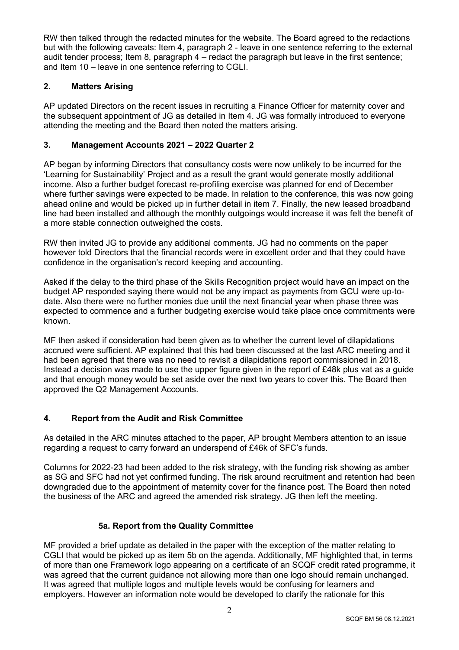RW then talked through the redacted minutes for the website. The Board agreed to the redactions but with the following caveats: Item 4, paragraph 2 - leave in one sentence referring to the external audit tender process; Item 8, paragraph 4 – redact the paragraph but leave in the first sentence; and Item 10 – leave in one sentence referring to CGLI.

### **2. Matters Arising**

AP updated Directors on the recent issues in recruiting a Finance Officer for maternity cover and the subsequent appointment of JG as detailed in Item 4. JG was formally introduced to everyone attending the meeting and the Board then noted the matters arising.

## **3. Management Accounts 2021 – 2022 Quarter 2**

AP began by informing Directors that consultancy costs were now unlikely to be incurred for the 'Learning for Sustainability' Project and as a result the grant would generate mostly additional income. Also a further budget forecast re-profiling exercise was planned for end of December where further savings were expected to be made. In relation to the conference, this was now going ahead online and would be picked up in further detail in item 7. Finally, the new leased broadband line had been installed and although the monthly outgoings would increase it was felt the benefit of a more stable connection outweighed the costs.

RW then invited JG to provide any additional comments. JG had no comments on the paper however told Directors that the financial records were in excellent order and that they could have confidence in the organisation's record keeping and accounting.

Asked if the delay to the third phase of the Skills Recognition project would have an impact on the budget AP responded saying there would not be any impact as payments from GCU were up-todate. Also there were no further monies due until the next financial year when phase three was expected to commence and a further budgeting exercise would take place once commitments were known.

MF then asked if consideration had been given as to whether the current level of dilapidations accrued were sufficient. AP explained that this had been discussed at the last ARC meeting and it had been agreed that there was no need to revisit a dilapidations report commissioned in 2018. Instead a decision was made to use the upper figure given in the report of £48k plus vat as a guide and that enough money would be set aside over the next two years to cover this. The Board then approved the Q2 Management Accounts.

# **4. Report from the Audit and Risk Committee**

As detailed in the ARC minutes attached to the paper, AP brought Members attention to an issue regarding a request to carry forward an underspend of £46k of SFC's funds.

Columns for 2022-23 had been added to the risk strategy, with the funding risk showing as amber as SG and SFC had not yet confirmed funding. The risk around recruitment and retention had been downgraded due to the appointment of maternity cover for the finance post. The Board then noted the business of the ARC and agreed the amended risk strategy. JG then left the meeting.

# **5a. Report from the Quality Committee**

MF provided a brief update as detailed in the paper with the exception of the matter relating to CGLI that would be picked up as item 5b on the agenda. Additionally, MF highlighted that, in terms of more than one Framework logo appearing on a certificate of an SCQF credit rated programme, it was agreed that the current guidance not allowing more than one logo should remain unchanged. It was agreed that multiple logos and multiple levels would be confusing for learners and employers. However an information note would be developed to clarify the rationale for this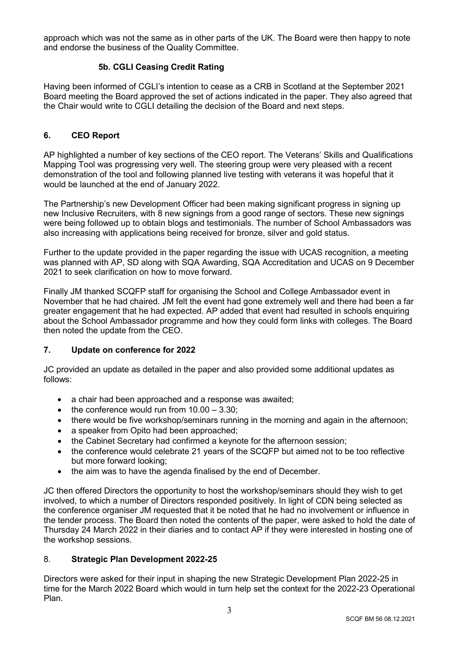approach which was not the same as in other parts of the UK. The Board were then happy to note and endorse the business of the Quality Committee.

# **5b. CGLI Ceasing Credit Rating**

Having been informed of CGLI's intention to cease as a CRB in Scotland at the September 2021 Board meeting the Board approved the set of actions indicated in the paper. They also agreed that the Chair would write to CGLI detailing the decision of the Board and next steps.

# **6. CEO Report**

AP highlighted a number of key sections of the CEO report. The Veterans' Skills and Qualifications Mapping Tool was progressing very well. The steering group were very pleased with a recent demonstration of the tool and following planned live testing with veterans it was hopeful that it would be launched at the end of January 2022.

The Partnership's new Development Officer had been making significant progress in signing up new Inclusive Recruiters, with 8 new signings from a good range of sectors. These new signings were being followed up to obtain blogs and testimonials. The number of School Ambassadors was also increasing with applications being received for bronze, silver and gold status.

Further to the update provided in the paper regarding the issue with UCAS recognition, a meeting was planned with AP, SD along with SQA Awarding, SQA Accreditation and UCAS on 9 December 2021 to seek clarification on how to move forward.

Finally JM thanked SCQFP staff for organising the School and College Ambassador event in November that he had chaired. JM felt the event had gone extremely well and there had been a far greater engagement that he had expected. AP added that event had resulted in schools enquiring about the School Ambassador programme and how they could form links with colleges. The Board then noted the update from the CEO.

# **7. Update on conference for 2022**

JC provided an update as detailed in the paper and also provided some additional updates as follows:

- a chair had been approached and a response was awaited;
- $\bullet$  the conference would run from  $10.00 3.30$ .
- there would be five workshop/seminars running in the morning and again in the afternoon;
- a speaker from Opito had been approached;
- the Cabinet Secretary had confirmed a keynote for the afternoon session;
- the conference would celebrate 21 years of the SCQFP but aimed not to be too reflective but more forward looking;
- the aim was to have the agenda finalised by the end of December.

JC then offered Directors the opportunity to host the workshop/seminars should they wish to get involved, to which a number of Directors responded positively. In light of CDN being selected as the conference organiser JM requested that it be noted that he had no involvement or influence in the tender process. The Board then noted the contents of the paper, were asked to hold the date of Thursday 24 March 2022 in their diaries and to contact AP if they were interested in hosting one of the workshop sessions.

### 8. **Strategic Plan Development 2022-25**

Directors were asked for their input in shaping the new Strategic Development Plan 2022-25 in time for the March 2022 Board which would in turn help set the context for the 2022-23 Operational Plan.